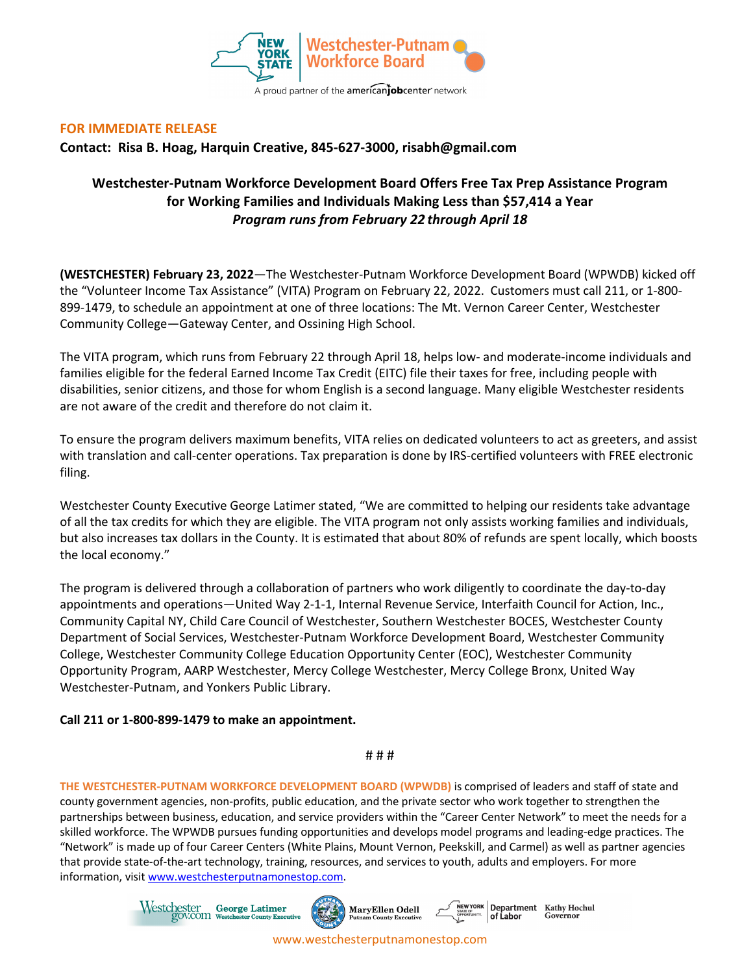

## **FOR IMMEDIATE RELEASE**

**Contact: Risa B. Hoag, Harquin Creative, 845-627-3000, risabh@gmail.com**

## **Westchester-Putnam Workforce Development Board Offers Free Tax Prep Assistance Program for Working Families and Individuals Making Less than \$57,414 a Year** *Program runs from February 22 through April 18*

**(WESTCHESTER) February 23, 2022**—The Westchester-Putnam Workforce Development Board (WPWDB) kicked off the "Volunteer Income Tax Assistance" (VITA) Program on February 22, 2022. Customers must call 211, or 1-800- 899-1479, to schedule an appointment at one of three locations: The Mt. Vernon Career Center, Westchester Community College—Gateway Center, and Ossining High School.

The VITA program, which runs from February 22 through April 18, helps low- and moderate-income individuals and families eligible for the federal Earned Income Tax Credit (EITC) file their taxes for free, including people with disabilities, senior citizens, and those for whom English is a second language. Many eligible Westchester residents are not aware of the credit and therefore do not claim it.

To ensure the program delivers maximum benefits, VITA relies on dedicated volunteers to act as greeters, and assist with translation and call-center operations. Tax preparation is done by IRS-certified volunteers with FREE electronic filing.

Westchester County Executive George Latimer stated, "We are committed to helping our residents take advantage of all the tax credits for which they are eligible. The VITA program not only assists working families and individuals, but also increases tax dollars in the County. It is estimated that about 80% of refunds are spent locally, which boosts the local economy."

The program is delivered through a collaboration of partners who work diligently to coordinate the day-to-day appointments and operations—United Way 2-1-1, Internal Revenue Service, Interfaith Council for Action, Inc., Community Capital NY, Child Care Council of Westchester, Southern Westchester BOCES, Westchester County Department of Social Services, Westchester-Putnam Workforce Development Board, Westchester Community College, Westchester Community College Education Opportunity Center (EOC), Westchester Community Opportunity Program, AARP Westchester, Mercy College Westchester, Mercy College Bronx, United Way Westchester-Putnam, and Yonkers Public Library.

## **Call 211 or 1-800-899-1479 to make an appointment.**

## # # #

**THE WESTCHESTER-PUTNAM WORKFORCE DEVELOPMENT BOARD (WPWDB)** is comprised of leaders and staff of state and county government agencies, non-profits, public education, and the private sector who work together to strengthen the partnerships between business, education, and service providers within the "Career Center Network" to meet the needs for a skilled workforce. The WPWDB pursues funding opportunities and develops model programs and leading-edge practices. The "Network" is made up of four Career Centers (White Plains, Mount Vernon, Peekskill, and Carmel) as well as partner agencies that provide state-of-the-art technology, training, resources, and services to youth, adults and employers. For more information, visit www.westchesterputnamonestop.com.



www.westchesterputnamonestop.com